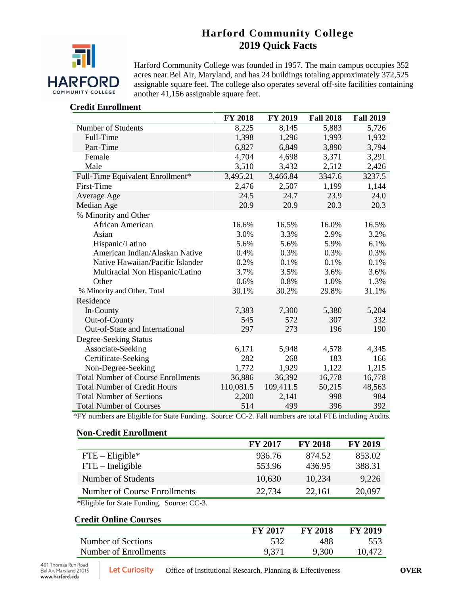# **Harford Community College 2019 Quick Facts**



Harford Community College was founded in 1957. The main campus occupies 352 acres near Bel Air, Maryland, and has 24 buildings totaling approximately 372,525 assignable square feet. The college also operates several off-site facilities containing another 41,156 assignable square feet.

## **Credit Enrollment**

|                                           | <b>FY 2018</b> | <b>FY 2019</b> | <b>Fall 2018</b> | <b>Fall 2019</b> |
|-------------------------------------------|----------------|----------------|------------------|------------------|
| Number of Students                        | 8,225          | 8,145          | 5,883            | 5,726            |
| Full-Time                                 | 1,398          | 1,296          | 1,993            | 1,932            |
| Part-Time                                 | 6,827          | 6,849          | 3,890            | 3,794            |
| Female                                    | 4,704          | 4,698          | 3,371            | 3,291            |
| Male                                      | 3,510          | 3,432          | 2,512            | 2,426            |
| Full-Time Equivalent Enrollment*          | 3,495.21       | 3,466.84       | 3347.6           | 3237.5           |
| First-Time                                | 2,476          | 2,507          | 1,199            | 1,144            |
| Average Age                               | 24.5           | 24.7           | 23.9             | 24.0             |
| Median Age                                | 20.9           | 20.9           | 20.3             | 20.3             |
| % Minority and Other                      |                |                |                  |                  |
| African American                          | 16.6%          | 16.5%          | 16.0%            | 16.5%            |
| Asian                                     | 3.0%           | 3.3%           | 2.9%             | 3.2%             |
| Hispanic/Latino                           | 5.6%           | 5.6%           | 5.9%             | 6.1%             |
| American Indian/Alaskan Native            | 0.4%           | 0.3%           | 0.3%             | 0.3%             |
| Native Hawaiian/Pacific Islander          | 0.2%           | 0.1%           | 0.1%             | 0.1%             |
| Multiracial Non Hispanic/Latino           | 3.7%           | 3.5%           | 3.6%             | 3.6%             |
| Other                                     | 0.6%           | 0.8%           | 1.0%             | 1.3%             |
| % Minority and Other, Total               | 30.1%          | 30.2%          | 29.8%            | 31.1%            |
| Residence                                 |                |                |                  |                  |
| In-County                                 | 7,383          | 7,300          | 5,380            | 5,204            |
| Out-of-County                             | 545            | 572            | 307              | 332              |
| Out-of-State and International            | 297            | 273            | 196              | 190              |
| Degree-Seeking Status                     |                |                |                  |                  |
| Associate-Seeking                         | 6,171          | 5,948          | 4,578            | 4,345            |
| Certificate-Seeking                       | 282            | 268            | 183              | 166              |
| Non-Degree-Seeking                        | 1,772          | 1,929          | 1,122            | 1,215            |
| <b>Total Number of Course Enrollments</b> | 36,886         | 36,392         | 16,778           | 16,778           |
| <b>Total Number of Credit Hours</b>       | 110,081.5      | 109,411.5      | 50,215           | 48,563           |
| <b>Total Number of Sections</b>           | 2,200          | 2,141          | 998              | 984              |
| <b>Total Number of Courses</b>            | 514            | 499            | 396              | 392              |

\*FY numbers are Eligible for State Funding. Source: CC-2. Fall numbers are total FTE including Audits.

#### **Non-Credit Enrollment**

|                              | <b>FY 2017</b> | <b>FY 2018</b> | <b>FY 2019</b> |
|------------------------------|----------------|----------------|----------------|
| $FTE - Elizabethie*$         | 936.76         | 874.52         | 853.02         |
| $FTE$ – Ineligible           | 553.96         | 436.95         | 388.31         |
| Number of Students           | 10,630         | 10,234         | 9,226          |
| Number of Course Enrollments | 22,734         | 22,161         | 20,097         |

\*Eligible for State Funding. Source: CC-3.

## **Credit Online Courses**

|                       | <b>FY 2017</b> | <b>FY 2018</b> | <b>FY 2019</b> |
|-----------------------|----------------|----------------|----------------|
| Number of Sections    | 532            | 488            | 553            |
| Number of Enrollments | 9,371          | 9,300          | 10.472         |